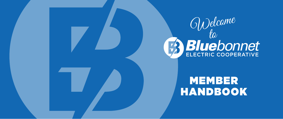

MEMBER HANDBOOK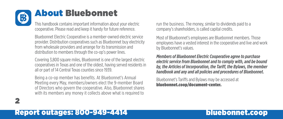

2

# About Bluebonnet

This handbook contains important information about your electric cooperative. Please read and keep it handy for future reference.

Bluebonnet Electric Cooperative is a member-owned electric service provider. Distribution cooperatives such as Bluebonnet buy electricity from wholesale providers and arrange for its transmission and distribution to members through the co-op's power lines.

Covering 3,800 square miles, Bluebonnet is one of the largest electric cooperatives in Texas and one of the oldest, having served residents in all or part of 14 Central Texas counties since 1939.

Being a co-op member has benefits. At Bluebonnet's Annual Meeting every May, members/owners elect the 9-member Board of Directors who govern the cooperative. Also, Bluebonnet shares with its members any money it collects above what is required to

run the business. The money, similar to dividends paid to a company's shareholders, is called capital credits.

Most of Bluebonnet's employees are Bluebonnet members. Those employees have a vested interest in the cooperative and live and work by Bluebonnet's values.

*Members of Bluebonnet Electric Cooperative agree to purchase electric service from Bluebonnet and to comply with, and be bound by, the Articles of Incorporation, the Tariff, the Bylaws, the member handbook and any and all policies and procedures of Bluebonnet.*

Bluebonnet's Tariffs and Bylaws may be accessed at bluebonnet.coop/document-center.

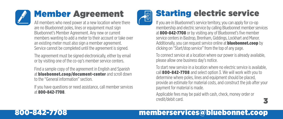# Member Agreement

All members who need power at a new location where there are no Bluebonnet poles, lines or equipment must sign Bluebonnet's Member Agreement. Any new or current members wanting to add a meter to their account or take over an existing meter must also sign a member agreement. Service cannot be completed until the agreement is signed.

The agreement must be signed electronically, either by email or by visiting one of the co-op's member service centers.

Find a sample copy of the agreement in English and Spanish at bluebonnet.coop/document-center and scroll down to the "General information" section.

If you have questions or need assistance, call member services at 800-842-7708.



# Starting electric service

If you are in Bluebonnet's service territory, you can apply for co-op membership and electric service by calling Bluebonnet member services at 800-842-7708 or by visiting any of Bluebonnet's five member service centers in Bastrop, Brenham, Giddings, Lockhart and Manor. Additionally, you can request service online at **bluebonnet.coop** by clicking on "Start/stop service" from the top of any page.

To connect service at a location where our power is already available, please allow one business day's notice.

To start new service in a location where no electric service is available, call 800-842-7708 and select option 3. We will work with you to determine where poles, lines and equipment should be placed, provide an estimate for material costs, and construct the job after your payment for material is made.

3

Applicable fees may be paid with cash, check, money order or credit/debit card.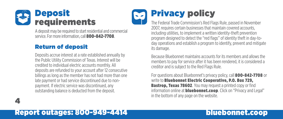

4

A deposit may be required to start residential and commercial service. For more information, call **800-842-7708**.

### Return of deposit

Deposits accrue interest at a rate established annually by the Public Utility Commission of Texas. Interest will be credited to individual electric accounts monthly. All deposits are refunded to your account after 12 consecutive billings as long as the member has not had more than one late payment or had service discontinued due to nonpayment. If electric service was discontinued, any outstanding balance is deducted from the deposit.

# Privacy policy

The Federal Trade Commission's Red Flags Rule, passed in November 2007, requires certain businesses that maintain covered accounts, including utilities, to implement a written identity-theft prevention program designed to detect the "red flags" of identity theft in day-today operations and establish a program to identify, prevent and mitigate its damage.

Because Bluebonnet maintains accounts for its members and allows the members to pay for service after it has been rendered, it is considered a creditor and is subject to the Red Flags Rule.

For questions about Bluebonnet's privacy policy, call 800-842-7708 or write to **Bluebonnet Electric Cooperative, P.O. Box 729, Bastrop, Texas 78602**. You may request a printed copy or find information online at **bluebonnet.coop**. Click on "Privacy and Legal" in the bottom of any page on the website.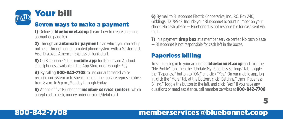

#### Seven ways to make a payment

1) Online at **bluebonnet.coop** (Learn how to create an online account on page 10).

2) Through an **automatic payment** plan which you can set up online or through our automated phone system with a MasterCard, Visa, Discover, American Express or bank draft.

**3)** On Bluebonnet's free **mobile app** for iPhone and Android smartphones, available in the App Store or on Google Play.

4) By calling 800-842-7708 to use our automated voice recognition system or to speak to a member service representative from 8 a.m. to 5 p.m., Monday through Friday.

**5)** At one of five Bluebonnet **member service centers**, which accept cash, check, money order or credit/debit card.

6) By mail to Bluebonnet Electric Cooperative, Inc., P.O. Box 240, Giddings, TX 78942. Include your Bluebonnet account number on your check. No cash please — Bluebonnet is not responsible for cash sent via mail.

**7)** In a payment **drop box** at a member service center. No cash please — Bluebonnet is not responsible for cash left in the boxes.

### Paperless billing

To sign up, log in to your account at **bluebonnet.coop** and click the "My Profile" tab, then the "Update My Paperless Settings" tab. Toggle the "Paperless" button to "ON," and click "Yes." On our mobile app, log in, click the "More" tab at the bottom, click "Settings," then "Paperless Billing." Toggle the button to the left, and click "Yes." If you have any questions or need assistance, call member services at 800-842-7708.

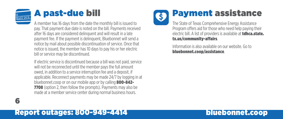

A member has 16 days from the date the monthly bill is issued to pay. That payment due date is noted on the bill. Payments received after 16 days are considered delinquent and will result in a late payment fee. If the payment is delinquent, Bluebonnet will send a notice by mail about possible discontinuation of service. Once that notice is issued, the member has 10 days to pay his or her electric bill or service may be discontinued.

If electric service is discontinued because a bill was not paid, service will not be reconnected until the member pays the full amount owed, in addition to a service interruption fee and a deposit, if applicable. Reconnect payments may be made 24/7 by logging in at bluebonnet.coop or on our mobile app or by calling 800-842- **7708** (option 2, then follow the prompts). Payments may also be made at a member service center during normal business hours.



# Payment assistance

The State of Texas Comprehensive Energy Assistance Program offers aid for those who need help paying their electric bill. A list of providers is available at **tdhca.state.** tx.us/community-affairs.

Information is also available on our website. Go to bluebonnet.coop/assistance.

### Report outages: 800-949-4414 bluebonnet.coop

6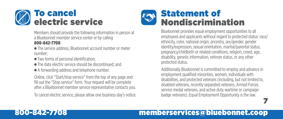

Members should provide the following information in person at a Bluebonnet member service center or by calling 800-842-7708:

- The service address, Bluebonnet account number or meter number;
- $\bullet$  Two forms of personal identification;
- $\bullet$  The date electric service should be discontinued; and
- A forwarding address and telephone number.

Online, click "Start/stop service" from the top of any page and fill out the "Stop service" form. Your request will be complete after a Bluebonnet member service representative contacts you.

To cancel electric service, please allow one business day's notice.



Bluebonnet provides equal employment opportunities to all employees and applicants without regard to protected status: race/ ethnicity, color, national origin, ancestry, sex/gender, gender identity/expression, sexual orientation, marital/parental status, pregnancy/childbirth or related conditions, religion, creed, age, disability, genetic information, veteran status, or any other protected status.

Additionally Bluebonnet is committed to employ and advance in employment qualified minorities, women, individuals with disabilities, and protected veterans (including, but not limited to, disabled veterans, recently separated veterans, Armed Forces service medal veterans, and active duty wartime or campaign badge veterans). Equal Employment Opportunity is the law.

7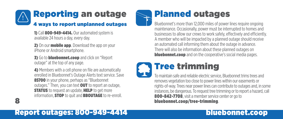

1) Call 800-949-4414. Our automated system is available 24 hours a day, every day.

2) On our **mobile app**. Download the app on your iPhone or Android smartphone.

**3)** Go to **bluebonnet.coop** and click on "Report outage" at the top of any page.

4) Members with a cell phone on file are automatically enrolled in Bluebonnet's Outage Alerts text service. Save 85700 in your phone, perhaps as "Bluebonnet" outages." Then, you can text OUT to report an outage, **STATUS** to request an update. HELP to get more information, **STOP** to quit and **BBOUTAGE** to re-enroll.



## Planned outages

Bluebonnet's more than 12,000 miles of power lines require ongoing maintenance. Occasionally, power must be interrupted to homes and businesses to allow our crews to work safely, effectively and efficiently. A member who will be impacted by a planned outage should receive an automated call informing them about the outage in advance. There will also be information about these planned outages on **bluebonnet.coop** and on the cooperative's social media pages.

# Tree trimming

To maintain safe and reliable electric service, Bluebonnet trims trees and removes vegetation too close to power lines within our easements or rights-of-way. Trees near power lines can contribute to outages and, in some instances, be dangerous. To request tree trimming or to report a hazard, call 800-842-7708, visit a member service center or go to bluebonnet.coop/tree-trimming.

## Report outages: 800-949-4414 bluebonnet.coop

8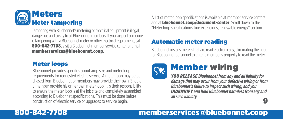

Tampering with Bluebonnet's metering or electrical equipment is illegal, dangerous and costly to all Bluebonnet members. If you suspect someone is tampering with a Bluebonnet meter or other electrical equipment, call 800-842-7708, visit a Bluebonnet member service center or email memberservices@bluebonnet.coop.

#### Meter loops

Bluebonnet provides specifics about amp size and meter loop requirements for requested electric service. A meter loop may be purchased from Bluebonnet or members may provide their own. Should a member provide his or her own meter loop, it is their responsibility to ensure the meter loop is at the job site and completely assembled according to Bluebonnet specifications. This must be done before construction of electric service or upgrades to service begin.

A list of meter loop specifications is available at member service centers and at **bluebonnet.coop/document-center**. Scroll down to the "Meter loop specifications, line extensions, renewable energy" section.

### Automatic meter reading

Bluebonnet installs meters that are read electronically, eliminating the need for Bluebonnet personnel to enter a member's property to read the meter.



# Member wiring

9 *YOU RELEASE Bluebonnet from any and all liability for damage that may occur from your defective wiring or from Bluebonnet's failure to inspect such wiring, and you INDEMNIFY and hold Bluebonnet harmless from any and all such liability.*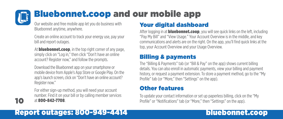### Bluebonnet.coop and our mobile app  $\mathbf{L}$

Our website and free mobile app let you do business with Bluebonnet anytime, anywhere.

Create an online account to track your energy use, pay your bill and report outages.

At **bluebonnet.coop**, in the top right corner of any page, simply click on "Log in," then click "Don't have an online account? Register now," and follow the prompts.

Download the Bluebonnet app on your smartphone or mobile device from Apple's App Store or Google Play. On the app's launch screen, click on "Don't have an online account? Register now."

For either sign-up method, you will need your account number. Find it on your bill or by calling member services at 800-842-7708.

### Your digital dashboard

After logging in at **bluebonnet.coop**, you will see quick links on the left, including "Pay My Bill" and "View Usage." Your Account Overview is in the middle, and key communications and alerts are on the right. On the app, you'll find quick links at the top, your Account Overview and your Usage Overview.

#### Billing & payments

The "Billing & Payments" tab (or "Bill & Pay" on the app) shows current billing details. You can also enroll in automatic payments, view your billing and payment history, or request a payment extension. To store a payment method, go to the "My Profile" tab (or "More," then "Settings" on the app).

#### Other features

To update your contact information or set up paperless billing, click on the "My Profile" or "Notifications" tab (or "More," then "Settings" on the app).

## Report outages: 800-949-4414 bluebonnet.coop

10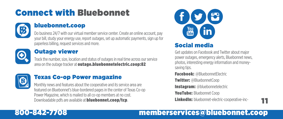# Connect with Bluebonnet



#### bluebonnet.coop

Do business 24/7 with our virtual member service center. Create an online account, pay your bill, study your energy use, report outages, set up automatic payments, sign up for paperless billing, request services and more.



#### Outage viewer

Track the number, size, location and status of outages in real time across our service area on the outage tracker at outage.bluebonnetelectric.coop:82



#### Texas Co-op Power magazine

Monthly news and features about the cooperative and its service area are featured on Bluebonnet's blue-bordered pages in the center of Texas Co-op Power Magazine, which is mailed to all co-op members at no cost. Downloadable pdfs are available at **bluebonnet.coop/tcp**.



### Social media

Get updates on Facebook and Twitter about major power outages, emergency alerts, Bluebonnet news, photos, interesting energy information and moneysaving tips.

Facebook: @BluebonnetElectric

Twitter: @BluebonnetCoop

Instagram: @bluebonnetelectric

**YouTube: Bluebonnet Coop** 

LinkedIn: bluebonnet-electric-cooperative-inc-

11